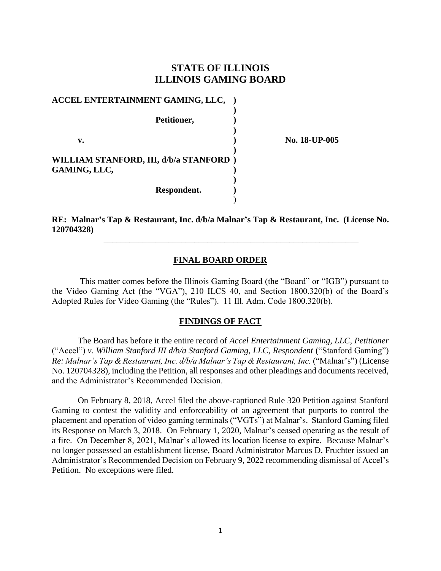# **STATE OF ILLINOIS ILLINOIS GAMING BOARD**

| ACCEL ENTERTAINMENT GAMING, LLC,                       |  |
|--------------------------------------------------------|--|
| Petitioner,                                            |  |
| v.                                                     |  |
| WILLIAM STANFORD, III, d/b/a STANFORD)<br>GAMING, LLC, |  |
| Respondent.                                            |  |

**v. ) No. 18-UP-005**

**RE: Malnar's Tap & Restaurant, Inc. d/b/a Malnar's Tap & Restaurant, Inc. (License No. 120704328)**

\_\_\_\_\_\_\_\_\_\_\_\_\_\_\_\_\_\_\_\_\_\_\_\_\_\_\_\_\_\_\_\_\_\_\_\_\_\_\_\_\_\_\_\_\_\_\_\_\_\_\_\_\_\_\_\_\_\_\_

#### **FINAL BOARD ORDER**

This matter comes before the Illinois Gaming Board (the "Board" or "IGB") pursuant to the Video Gaming Act (the "VGA"), 210 ILCS 40, and Section 1800.320(b) of the Board's Adopted Rules for Video Gaming (the "Rules"). 11 Ill. Adm. Code 1800.320(b).

#### **FINDINGS OF FACT**

The Board has before it the entire record of *Accel Entertainment Gaming, LLC, Petitioner*  ("Accel") *v. William Stanford III d/b/a Stanford Gaming, LLC, Respondent* ("Stanford Gaming") *Re: Malnar's Tap & Restaurant, Inc. d/b/a Malnar's Tap & Restaurant, Inc.* ("Malnar's") (License No. 120704328), including the Petition, all responses and other pleadings and documents received, and the Administrator's Recommended Decision.

On February 8, 2018, Accel filed the above-captioned Rule 320 Petition against Stanford Gaming to contest the validity and enforceability of an agreement that purports to control the placement and operation of video gaming terminals ("VGTs") at Malnar's. Stanford Gaming filed its Response on March 3, 2018. On February 1, 2020, Malnar's ceased operating as the result of a fire. On December 8, 2021, Malnar's allowed its location license to expire. Because Malnar's no longer possessed an establishment license, Board Administrator Marcus D. Fruchter issued an Administrator's Recommended Decision on February 9, 2022 recommending dismissal of Accel's Petition. No exceptions were filed.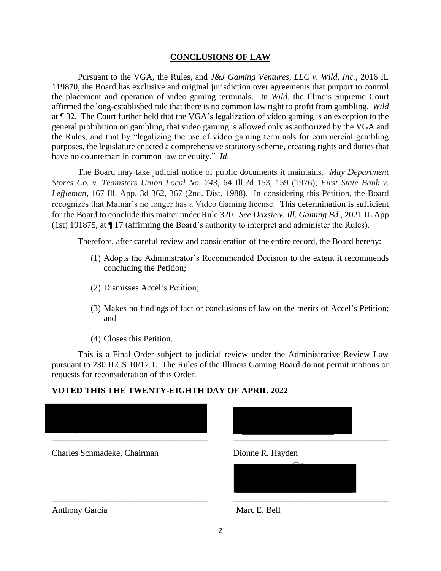#### **CONCLUSIONS OF LAW**

Pursuant to the VGA, the Rules, and *J&J Gaming Ventures, LLC v. Wild, Inc.*, 2016 IL 119870, the Board has exclusive and original jurisdiction over agreements that purport to control the placement and operation of video gaming terminals. In *Wild*, the Illinois Supreme Court affirmed the long-established rule that there is no common law right to profit from gambling. *Wild* at ¶ 32. The Court further held that the VGA's legalization of video gaming is an exception to the general prohibition on gambling, that video gaming is allowed only as authorized by the VGA and the Rules, and that by "legalizing the use of video gaming terminals for commercial gambling purposes, the legislature enacted a comprehensive statutory scheme, creating rights and duties that have no counterpart in common law or equity." *Id*.

The Board may take judicial notice of public documents it maintains. *May Department Stores Co. v. Teamsters Union Local No. 743*, 64 Ill.2d 153, 159 (1976); *First State Bank v. Leffleman*, 167 Ill. App. 3d 362, 367 (2nd. Dist. 1988). In considering this Petition, the Board recognizes that Malnar's no longer has a Video Gaming license. This determination is sufficient for the Board to conclude this matter under Rule 320. *See Doxsie v. Ill. Gaming Bd*., 2021 IL App (1st) 191875, at ¶ 17 (affirming the Board's authority to interpret and administer the Rules).

Therefore, after careful review and consideration of the entire record, the Board hereby:

- (1) Adopts the Administrator's Recommended Decision to the extent it recommends concluding the Petition;
- (2) Dismisses Accel's Petition;
- (3) Makes no findings of fact or conclusions of law on the merits of Accel's Petition; and
- (4) Closes this Petition.

This is a Final Order subject to judicial review under the Administrative Review Law pursuant to 230 ILCS 10/17.1. The Rules of the Illinois Gaming Board do not permit motions or requests for reconsideration of this Order.

## **VOTED THIS THE TWENTY-EIGHTH DAY OF APRIL 2022**



\_\_\_\_\_\_\_\_\_\_\_\_\_\_\_\_\_\_\_\_\_\_\_\_\_\_\_\_\_\_\_\_\_\_\_\_

Charles Schmadeke, Chairman Dionne R. Hayden



\_\_\_\_\_\_\_\_\_\_\_\_\_\_\_\_\_\_\_\_\_\_\_\_\_\_\_\_\_\_\_\_\_\_\_\_

Anthony Garcia Marc E. Bell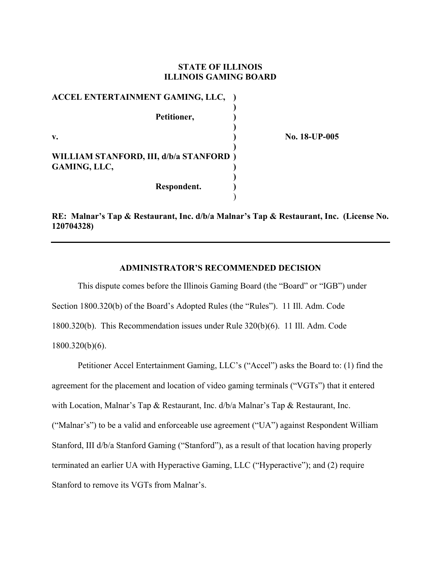### **STATE OF ILLINOIS ILLINOIS GAMING BOARD**

| ACCEL ENTERTAINMENT GAMING, LLC,       |  |
|----------------------------------------|--|
|                                        |  |
| Petitioner,                            |  |
|                                        |  |
| v.                                     |  |
|                                        |  |
| WILLIAM STANFORD, III, d/b/a STANFORD) |  |
| <b>GAMING, LLC,</b>                    |  |
|                                        |  |
| Respondent.                            |  |

 $)$ 

**v. ) No. 18-UP-005** 

**RE: Malnar's Tap & Restaurant, Inc. d/b/a Malnar's Tap & Restaurant, Inc. (License No. 120704328)** 

### **ADMINISTRATOR'S RECOMMENDED DECISION**

This dispute comes before the Illinois Gaming Board (the "Board" or "IGB") under Section 1800.320(b) of the Board's Adopted Rules (the "Rules"). 11 Ill. Adm. Code 1800.320(b). This Recommendation issues under Rule 320(b)(6). 11 Ill. Adm. Code 1800.320(b)(6).

Petitioner Accel Entertainment Gaming, LLC's ("Accel") asks the Board to: (1) find the agreement for the placement and location of video gaming terminals ("VGTs") that it entered with Location, Malnar's Tap & Restaurant, Inc. d/b/a Malnar's Tap & Restaurant, Inc. ("Malnar's") to be a valid and enforceable use agreement ("UA") against Respondent William Stanford, III d/b/a Stanford Gaming ("Stanford"), as a result of that location having properly terminated an earlier UA with Hyperactive Gaming, LLC ("Hyperactive"); and (2) require Stanford to remove its VGTs from Malnar's.